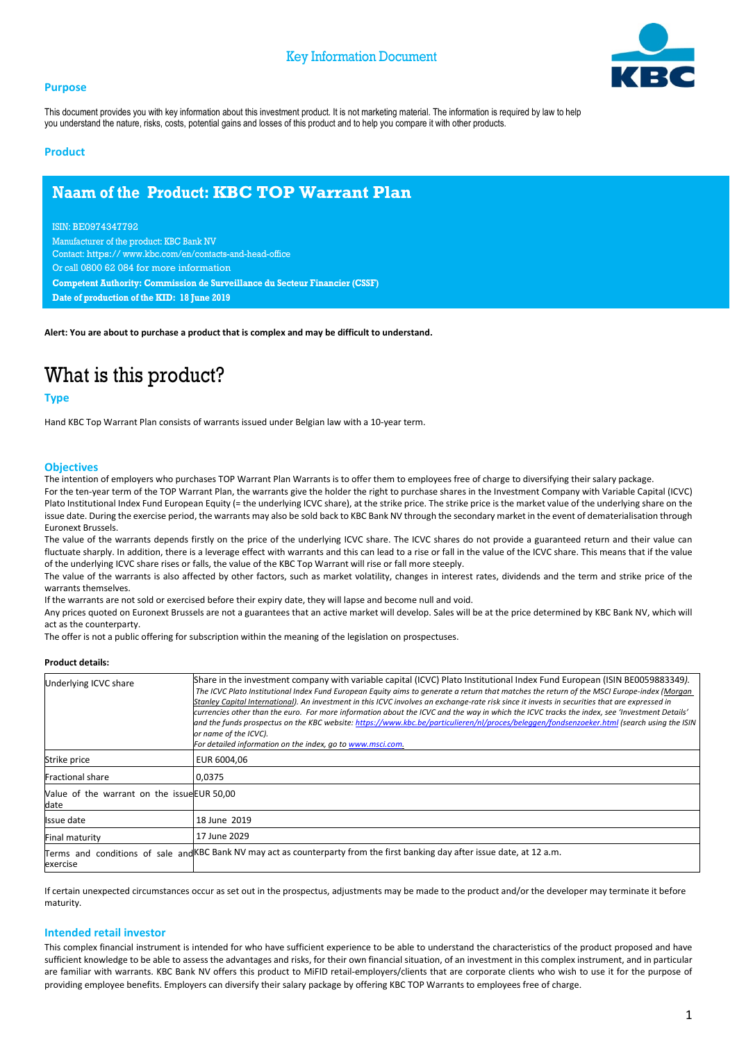#### **Purpose**



This document provides you with key information about this investment product. It is not marketing material. The information is required by law to help you understand the nature, risks, costs, potential gains and losses of this product and to help you compare it with other products.

#### **Product**

### **Naam of the Product: KBC TOP Warrant Plan**

ISIN: BE0974347792 Manufacturer of the product: KBC Bank NV Contact: https:// www.kbc.com/en/contacts-and-head-office Or call 0800 62 084 for more information **Competent Authority: Commission de Surveillance du Secteur Financier (CSSF) Date of production of the KID: 18 June 2019**

**Alert: You are about to purchase a product that is complex and may be difficult to understand.**

# What is this product?

#### **Type**

Hand KBC Top Warrant Plan consists of warrants issued under Belgian law with a 10-year term.

#### **Objectives**

The intention of employers who purchases TOP Warrant Plan Warrants is to offer them to employees free of charge to diversifying their salary package. For the ten-year term of the TOP Warrant Plan, the warrants give the holder the right to purchase shares in the Investment Company with Variable Capital (ICVC) Plato Institutional Index Fund European Equity (= the underlying ICVC share), at the strike price. The strike price is the market value of the underlying share on the issue date. During the exercise period, the warrants may also be sold back to KBC Bank NV through the secondary market in the event of dematerialisation through Euronext Brussels.

The value of the warrants depends firstly on the price of the underlying ICVC share. The ICVC shares do not provide a guaranteed return and their value can fluctuate sharply. In addition, there is a leverage effect with warrants and this can lead to a rise or fall in the value of the ICVC share. This means that if the value of the underlying ICVC share rises or falls, the value of the KBC Top Warrant will rise or fall more steeply.

The value of the warrants is also affected by other factors, such as market volatility, changes in interest rates, dividends and the term and strike price of the warrants themselves.

If the warrants are not sold or exercised before their expiry date, they will lapse and become null and void.

Any prices quoted on Euronext Brussels are not a guarantees that an active market will develop. Sales will be at the price determined by KBC Bank NV, which will act as the counterparty.

The offer is not a public offering for subscription within the meaning of the legislation on prospectuses.

#### **Product details:**

| Underlying ICVC share                               | Share in the investment company with variable capital (ICVC) Plato Institutional Index Fund European (ISIN BE0059883349).<br>The ICVC Plato Institutional Index Fund European Equity aims to generate a return that matches the return of the MSCI Europe-index (Morgan<br>Stanley Capital International). An investment in this ICVC involves an exchange-rate risk since it invests in securities that are expressed in<br>currencies other than the euro. For more information about the ICVC and the way in which the ICVC tracks the index, see 'Investment Details'<br>and the funds prospectus on the KBC website: https://www.kbc.be/particulieren/nl/proces/beleggen/fondsenzoeker.html (search using the ISIN<br>or name of the ICVC).<br>For detailed information on the index, go to www.msci.com. |
|-----------------------------------------------------|----------------------------------------------------------------------------------------------------------------------------------------------------------------------------------------------------------------------------------------------------------------------------------------------------------------------------------------------------------------------------------------------------------------------------------------------------------------------------------------------------------------------------------------------------------------------------------------------------------------------------------------------------------------------------------------------------------------------------------------------------------------------------------------------------------------|
| Strike price                                        | EUR 6004.06                                                                                                                                                                                                                                                                                                                                                                                                                                                                                                                                                                                                                                                                                                                                                                                                    |
| <b>Fractional share</b>                             | 0,0375                                                                                                                                                                                                                                                                                                                                                                                                                                                                                                                                                                                                                                                                                                                                                                                                         |
| Value of the warrant on the issue EUR 50,00<br>date |                                                                                                                                                                                                                                                                                                                                                                                                                                                                                                                                                                                                                                                                                                                                                                                                                |
| Issue date                                          | 18 June 2019                                                                                                                                                                                                                                                                                                                                                                                                                                                                                                                                                                                                                                                                                                                                                                                                   |
| Final maturity                                      | 17 June 2029                                                                                                                                                                                                                                                                                                                                                                                                                                                                                                                                                                                                                                                                                                                                                                                                   |
| exercise                                            | Terms and conditions of sale and KBC Bank NV may act as counterparty from the first banking day after issue date, at 12 a.m.                                                                                                                                                                                                                                                                                                                                                                                                                                                                                                                                                                                                                                                                                   |

If certain unexpected circumstances occur as set out in the prospectus, adjustments may be made to the product and/or the developer may terminate it before maturity.

#### **Intended retail investor**

This complex financial instrument is intended for who have sufficient experience to be able to understand the characteristics of the product proposed and have sufficient knowledge to be able to assess the advantages and risks, for their own financial situation, of an investment in this complex instrument, and in particular are familiar with warrants. KBC Bank NV offers this product to MiFID retail-employers/clients that are corporate clients who wish to use it for the purpose of providing employee benefits. Employers can diversify their salary package by offering KBC TOP Warrants to employees free of charge.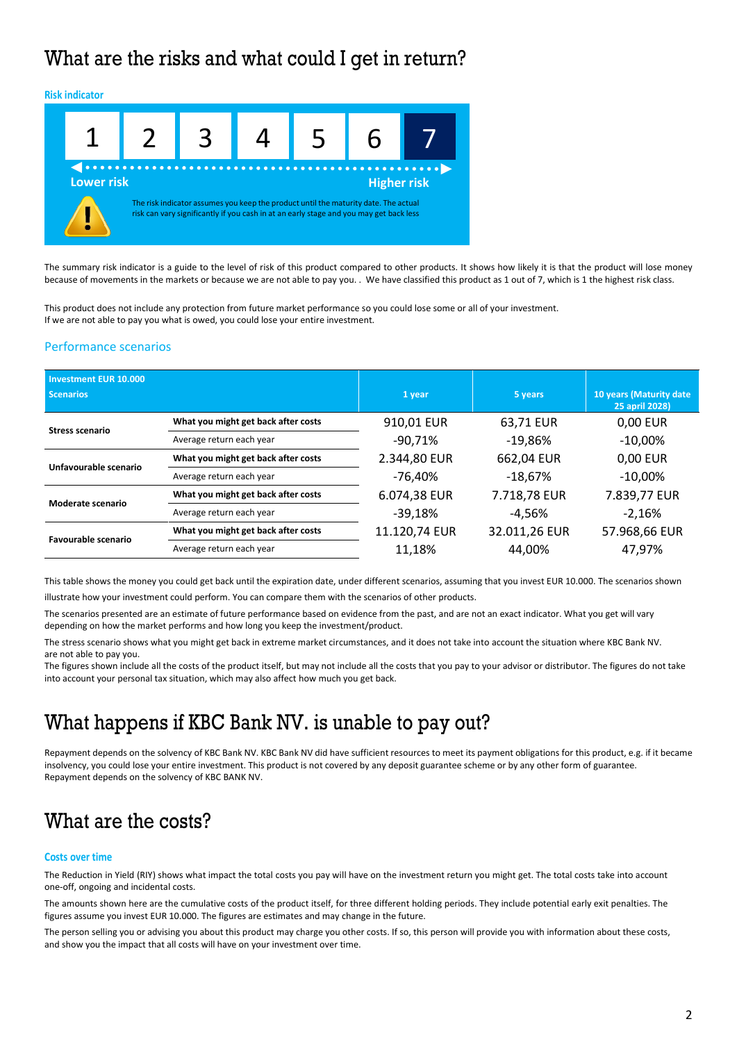# What are the risks and what could I get in return?



The summary risk indicator is a guide to the level of risk of this product compared to other products. It shows how likely it is that the product will lose money because of movements in the markets or because we are not able to pay you. . We have classified this product as 1 out of 7, which is 1 the highest risk class.

This product does not include any protection from future market performance so you could lose some or all of your investment. If we are not able to pay you what is owed, you could lose your entire investment.

### Performance scenarios

| <b>Investment EUR 10.000</b><br><b>Scenarios</b> |                                     | 1 year        | 5 years       | 10 years (Maturity date<br>25 april 2028) |
|--------------------------------------------------|-------------------------------------|---------------|---------------|-------------------------------------------|
| <b>Stress scenario</b>                           | What you might get back after costs | 910,01 EUR    | 63,71 EUR     | 0,00 EUR                                  |
|                                                  | Average return each year            | $-90,71%$     | $-19,86%$     | $-10,00\%$                                |
| Unfavourable scenario                            | What you might get back after costs | 2.344,80 EUR  | 662,04 EUR    | 0,00 EUR                                  |
|                                                  | Average return each year            | -76,40%       | $-18,67%$     | $-10,00\%$                                |
| Moderate scenario                                | What you might get back after costs | 6.074,38 EUR  | 7.718,78 EUR  | 7.839,77 EUR                              |
|                                                  | Average return each year            | $-39,18%$     | -4.56%        | $-2,16%$                                  |
| Favourable scenario                              | What you might get back after costs | 11.120,74 EUR | 32.011,26 EUR | 57.968,66 EUR                             |
|                                                  | Average return each year            | 11,18%        | 44.00%        | 47,97%                                    |

This table shows the money you could get back until the expiration date, under different scenarios, assuming that you invest EUR 10.000. The scenarios shown illustrate how your investment could perform. You can compare them with the scenarios of other products.

The scenarios presented are an estimate of future performance based on evidence from the past, and are not an exact indicator. What you get will vary depending on how the market performs and how long you keep the investment/product.

The stress scenario shows what you might get back in extreme market circumstances, and it does not take into account the situation where KBC Bank NV. are not able to pay you.

The figures shown include all the costs of the product itself, but may not include all the costs that you pay to your advisor or distributor. The figures do not take into account your personal tax situation, which may also affect how much you get back.

### What happens if KBC Bank NV. is unable to pay out?

Repayment depends on the solvency of KBC Bank NV. KBC Bank NV did have sufficient resources to meet its payment obligations for this product, e.g. if it became insolvency, you could lose your entire investment. This product is not covered by any deposit guarantee scheme or by any other form of guarantee. Repayment depends on the solvency of KBC BANK NV.

### What are the costs?

#### **Costs over time**

The Reduction in Yield (RIY) shows what impact the total costs you pay will have on the investment return you might get. The total costs take into account one-off, ongoing and incidental costs.

The amounts shown here are the cumulative costs of the product itself, for three different holding periods. They include potential early exit penalties. The figures assume you invest EUR 10.000. The figures are estimates and may change in the future.

The person selling you or advising you about this product may charge you other costs. If so, this person will provide you with information about these costs, and show you the impact that all costs will have on your investment over time.